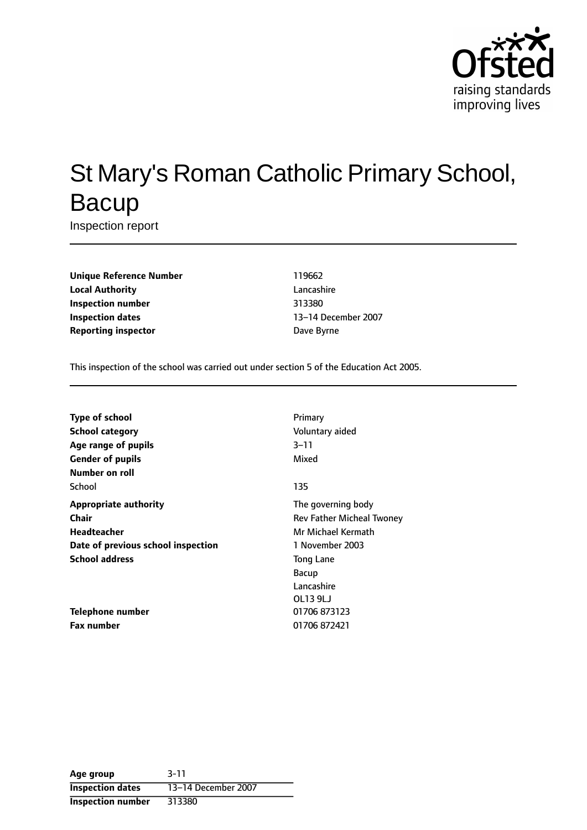

# St Mary's Roman Catholic Primary School, **Bacup**

Inspection report

**Unique Reference Number** 119662 **Local Authority** Lancashire **Inspection number** 313380 **Inspection dates** 13-14 December 2007 **Reporting inspector Dave Byrne** 

This inspection of the school was carried out under section 5 of the Education Act 2005.

| <b>Type of school</b>              | Primary                   |
|------------------------------------|---------------------------|
| <b>School category</b>             | Voluntary aided           |
| Age range of pupils                | $3 - 11$                  |
| <b>Gender of pupils</b>            | Mixed                     |
| Number on roll                     |                           |
| School                             | 135                       |
| <b>Appropriate authority</b>       | The governing body        |
| Chair                              | Rev Father Micheal Twoney |
| <b>Headteacher</b>                 | Mr Michael Kermath        |
| Date of previous school inspection | 1 November 2003           |
| <b>School address</b>              | <b>Tong Lane</b>          |
|                                    | Bacup                     |
|                                    | Lancashire                |
|                                    | OL13 9LJ                  |
| Telephone number                   | 01706 873123              |
| <b>Fax number</b>                  | 01706872421               |

| Age group                | $3 - 11$            |
|--------------------------|---------------------|
| <b>Inspection dates</b>  | 13-14 December 2007 |
| <b>Inspection number</b> | 313380              |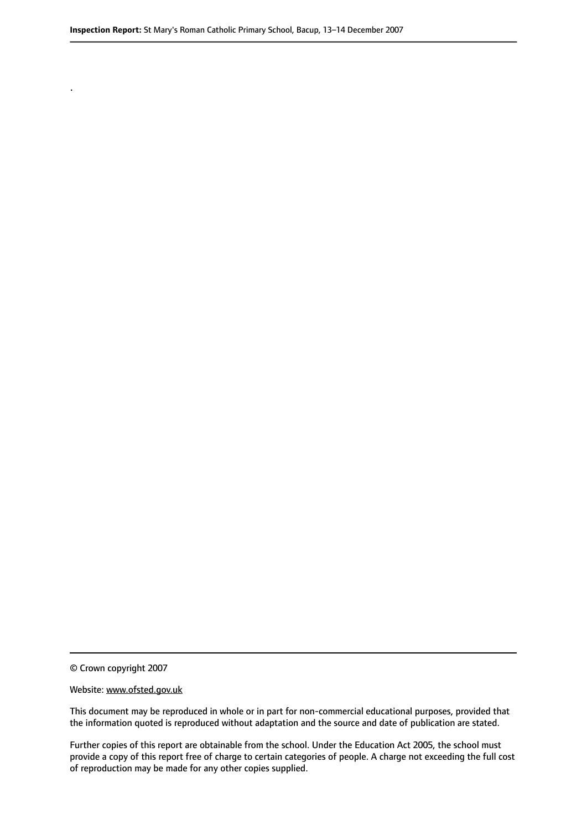© Crown copyright 2007

.

#### Website: www.ofsted.gov.uk

This document may be reproduced in whole or in part for non-commercial educational purposes, provided that the information quoted is reproduced without adaptation and the source and date of publication are stated.

Further copies of this report are obtainable from the school. Under the Education Act 2005, the school must provide a copy of this report free of charge to certain categories of people. A charge not exceeding the full cost of reproduction may be made for any other copies supplied.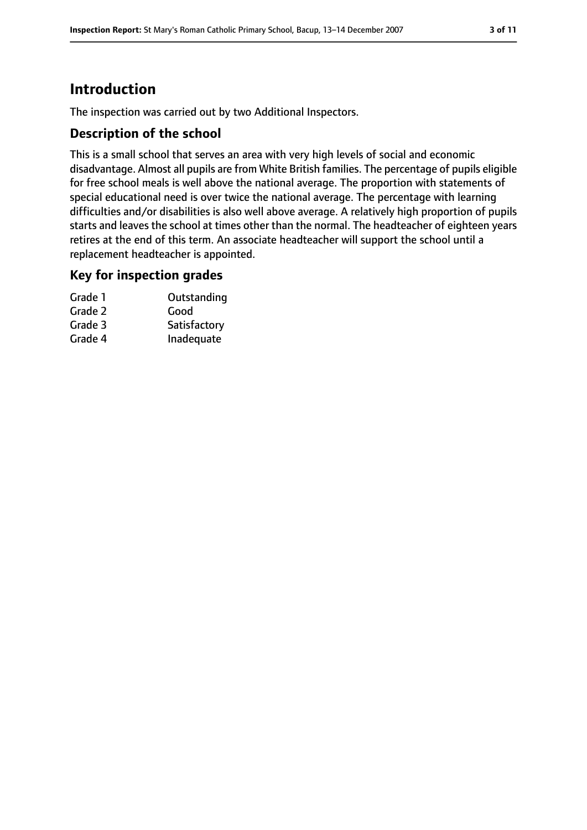# **Introduction**

The inspection was carried out by two Additional Inspectors.

### **Description of the school**

This is a small school that serves an area with very high levels of social and economic disadvantage. Almost all pupils are from White British families. The percentage of pupils eligible for free school meals is well above the national average. The proportion with statements of special educational need is over twice the national average. The percentage with learning difficulties and/or disabilities is also well above average. A relatively high proportion of pupils starts and leaves the school at times other than the normal. The headteacher of eighteen years retires at the end of this term. An associate headteacher will support the school until a replacement headteacher is appointed.

### **Key for inspection grades**

| Grade 1 | Outstanding  |
|---------|--------------|
| Grade 2 | Good         |
| Grade 3 | Satisfactory |
| Grade 4 | Inadequate   |
|         |              |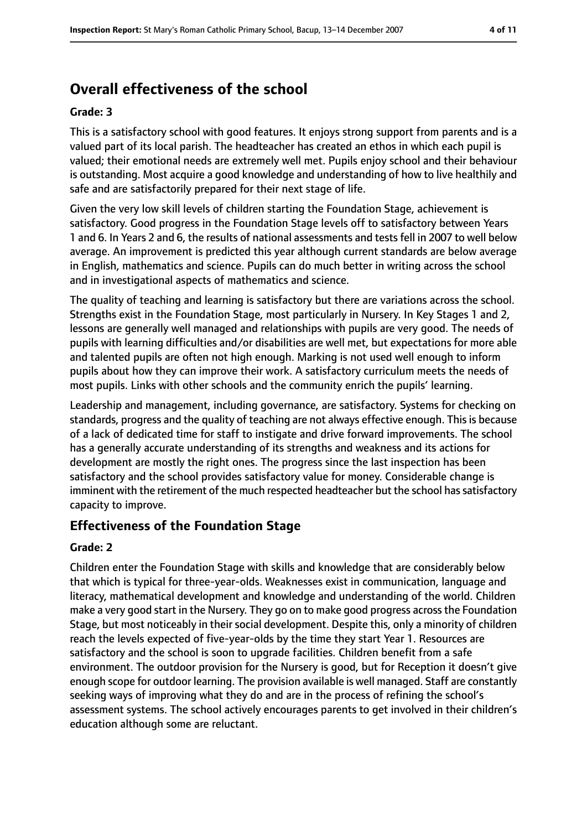# **Overall effectiveness of the school**

#### **Grade: 3**

This is a satisfactory school with good features. It enjoys strong support from parents and is a valued part of its local parish. The headteacher has created an ethos in which each pupil is valued; their emotional needs are extremely well met. Pupils enjoy school and their behaviour is outstanding. Most acquire a good knowledge and understanding of how to live healthily and safe and are satisfactorily prepared for their next stage of life.

Given the very low skill levels of children starting the Foundation Stage, achievement is satisfactory. Good progress in the Foundation Stage levels off to satisfactory between Years 1 and 6. In Years 2 and 6, the results of national assessments and tests fell in 2007 to well below average. An improvement is predicted this year although current standards are below average in English, mathematics and science. Pupils can do much better in writing across the school and in investigational aspects of mathematics and science.

The quality of teaching and learning is satisfactory but there are variations across the school. Strengths exist in the Foundation Stage, most particularly in Nursery. In Key Stages 1 and 2, lessons are generally well managed and relationships with pupils are very good. The needs of pupils with learning difficulties and/or disabilities are well met, but expectations for more able and talented pupils are often not high enough. Marking is not used well enough to inform pupils about how they can improve their work. A satisfactory curriculum meets the needs of most pupils. Links with other schools and the community enrich the pupils' learning.

Leadership and management, including governance, are satisfactory. Systems for checking on standards, progress and the quality of teaching are not always effective enough. This is because of a lack of dedicated time for staff to instigate and drive forward improvements. The school has a generally accurate understanding of its strengths and weakness and its actions for development are mostly the right ones. The progress since the last inspection has been satisfactory and the school provides satisfactory value for money. Considerable change is imminent with the retirement of the much respected headteacher but the school has satisfactory capacity to improve.

### **Effectiveness of the Foundation Stage**

#### **Grade: 2**

Children enter the Foundation Stage with skills and knowledge that are considerably below that which is typical for three-year-olds. Weaknesses exist in communication, language and literacy, mathematical development and knowledge and understanding of the world. Children make a very good start in the Nursery. They go on to make good progress acrossthe Foundation Stage, but most noticeably in their social development. Despite this, only a minority of children reach the levels expected of five-year-olds by the time they start Year 1. Resources are satisfactory and the school is soon to upgrade facilities. Children benefit from a safe environment. The outdoor provision for the Nursery is good, but for Reception it doesn't give enough scope for outdoor learning. The provision available is well managed. Staff are constantly seeking ways of improving what they do and are in the process of refining the school's assessment systems. The school actively encourages parents to get involved in their children's education although some are reluctant.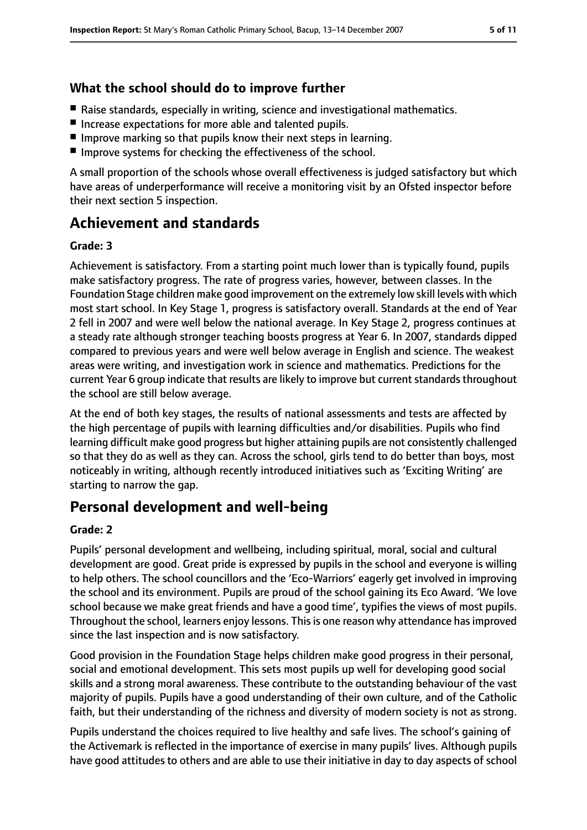### **What the school should do to improve further**

- Raise standards, especially in writing, science and investigational mathematics.
- Increase expectations for more able and talented pupils.
- Improve marking so that pupils know their next steps in learning.
- Improve systems for checking the effectiveness of the school.

A small proportion of the schools whose overall effectiveness is judged satisfactory but which have areas of underperformance will receive a monitoring visit by an Ofsted inspector before their next section 5 inspection.

# **Achievement and standards**

#### **Grade: 3**

Achievement is satisfactory. From a starting point much lower than is typically found, pupils make satisfactory progress. The rate of progress varies, however, between classes. In the Foundation Stage children make good improvement on the extremely low skill levels with which most start school. In Key Stage 1, progress is satisfactory overall. Standards at the end of Year 2 fell in 2007 and were well below the national average. In Key Stage 2, progress continues at a steady rate although stronger teaching boosts progress at Year 6. In 2007, standards dipped compared to previous years and were well below average in English and science. The weakest areas were writing, and investigation work in science and mathematics. Predictions for the current Year 6 group indicate that results are likely to improve but current standards throughout the school are still below average.

At the end of both key stages, the results of national assessments and tests are affected by the high percentage of pupils with learning difficulties and/or disabilities. Pupils who find learning difficult make good progress but higher attaining pupils are not consistently challenged so that they do as well as they can. Across the school, girls tend to do better than boys, most noticeably in writing, although recently introduced initiatives such as 'Exciting Writing' are starting to narrow the gap.

# **Personal development and well-being**

#### **Grade: 2**

Pupils' personal development and wellbeing, including spiritual, moral, social and cultural development are good. Great pride is expressed by pupils in the school and everyone is willing to help others. The school councillors and the 'Eco-Warriors' eagerly get involved in improving the school and its environment. Pupils are proud of the school gaining its Eco Award. 'We love school because we make great friends and have a good time', typifies the views of most pupils. Throughout the school, learners enjoy lessons. Thisis one reason why attendance hasimproved since the last inspection and is now satisfactory.

Good provision in the Foundation Stage helps children make good progress in their personal, social and emotional development. This sets most pupils up well for developing good social skills and a strong moral awareness. These contribute to the outstanding behaviour of the vast majority of pupils. Pupils have a good understanding of their own culture, and of the Catholic faith, but their understanding of the richness and diversity of modern society is not as strong.

Pupils understand the choices required to live healthy and safe lives. The school's gaining of the Activemark is reflected in the importance of exercise in many pupils' lives. Although pupils have good attitudes to others and are able to use their initiative in day to day aspects of school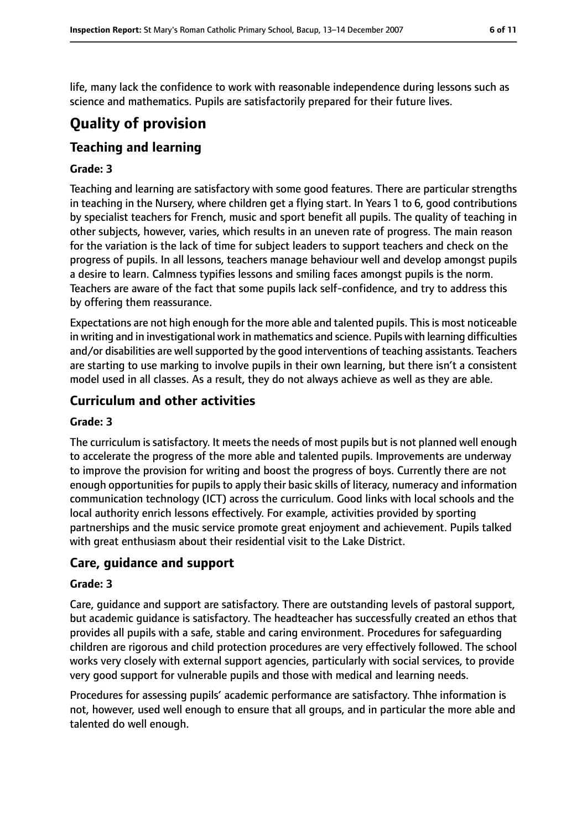life, many lack the confidence to work with reasonable independence during lessons such as science and mathematics. Pupils are satisfactorily prepared for their future lives.

# **Quality of provision**

## **Teaching and learning**

#### **Grade: 3**

Teaching and learning are satisfactory with some good features. There are particular strengths in teaching in the Nursery, where children get a flying start. In Years 1 to 6, good contributions by specialist teachers for French, music and sport benefit all pupils. The quality of teaching in other subjects, however, varies, which results in an uneven rate of progress. The main reason for the variation is the lack of time for subject leaders to support teachers and check on the progress of pupils. In all lessons, teachers manage behaviour well and develop amongst pupils a desire to learn. Calmness typifies lessons and smiling faces amongst pupils is the norm. Teachers are aware of the fact that some pupils lack self-confidence, and try to address this by offering them reassurance.

Expectations are not high enough for the more able and talented pupils. Thisis most noticeable in writing and in investigational work in mathematics and science. Pupils with learning difficulties and/or disabilities are well supported by the good interventions of teaching assistants. Teachers are starting to use marking to involve pupils in their own learning, but there isn't a consistent model used in all classes. As a result, they do not always achieve as well as they are able.

### **Curriculum and other activities**

#### **Grade: 3**

The curriculum is satisfactory. It meets the needs of most pupils but is not planned well enough to accelerate the progress of the more able and talented pupils. Improvements are underway to improve the provision for writing and boost the progress of boys. Currently there are not enough opportunities for pupils to apply their basic skills of literacy, numeracy and information communication technology (ICT) across the curriculum. Good links with local schools and the local authority enrich lessons effectively. For example, activities provided by sporting partnerships and the music service promote great enjoyment and achievement. Pupils talked with great enthusiasm about their residential visit to the Lake District.

### **Care, guidance and support**

#### **Grade: 3**

Care, guidance and support are satisfactory. There are outstanding levels of pastoral support, but academic guidance is satisfactory. The headteacher has successfully created an ethos that provides all pupils with a safe, stable and caring environment. Procedures for safeguarding children are rigorous and child protection procedures are very effectively followed. The school works very closely with external support agencies, particularly with social services, to provide very good support for vulnerable pupils and those with medical and learning needs.

Procedures for assessing pupils' academic performance are satisfactory. Thhe information is not, however, used well enough to ensure that all groups, and in particular the more able and talented do well enough.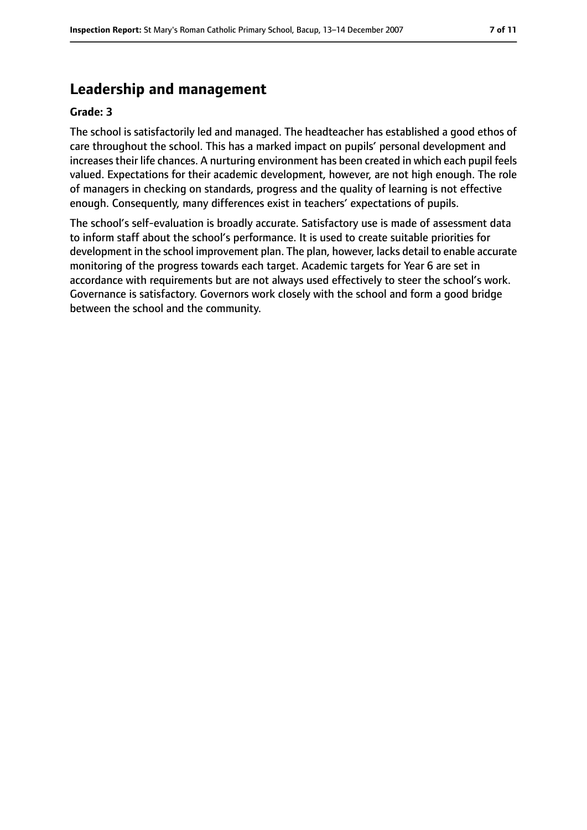# **Leadership and management**

#### **Grade: 3**

The school is satisfactorily led and managed. The headteacher has established a good ethos of care throughout the school. This has a marked impact on pupils' personal development and increasestheir life chances. A nurturing environment has been created in which each pupil feels valued. Expectations for their academic development, however, are not high enough. The role of managers in checking on standards, progress and the quality of learning is not effective enough. Consequently, many differences exist in teachers' expectations of pupils.

The school's self-evaluation is broadly accurate. Satisfactory use is made of assessment data to inform staff about the school's performance. It is used to create suitable priorities for development in the school improvement plan. The plan, however, lacks detail to enable accurate monitoring of the progress towards each target. Academic targets for Year 6 are set in accordance with requirements but are not always used effectively to steer the school's work. Governance is satisfactory. Governors work closely with the school and form a good bridge between the school and the community.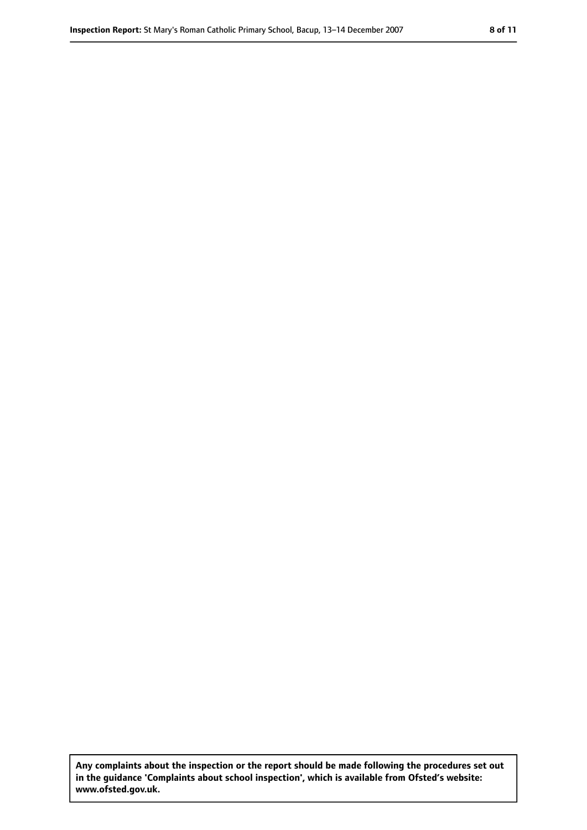**Any complaints about the inspection or the report should be made following the procedures set out in the guidance 'Complaints about school inspection', which is available from Ofsted's website: www.ofsted.gov.uk.**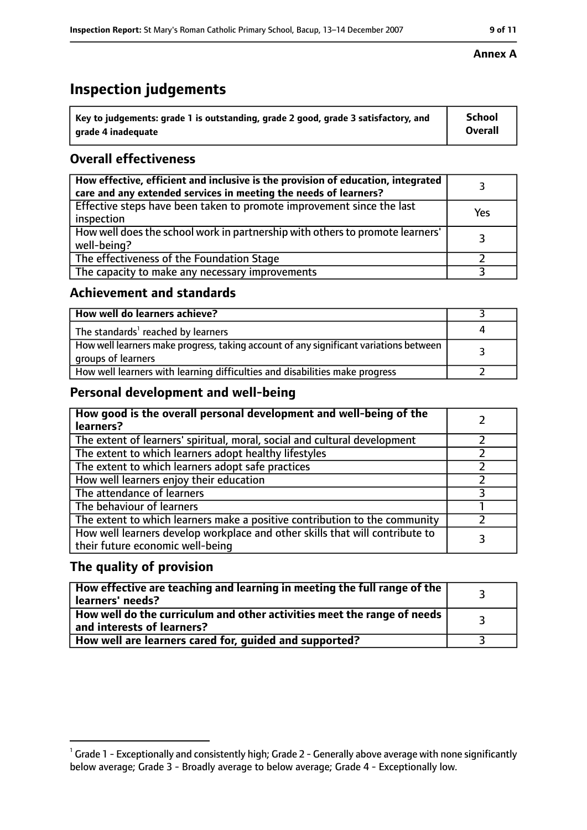# **Inspection judgements**

| $\lq$ Key to judgements: grade 1 is outstanding, grade 2 good, grade 3 satisfactory, and | School  |
|------------------------------------------------------------------------------------------|---------|
| arade 4 inadequate                                                                       | Overall |

# **Overall effectiveness**

| How effective, efficient and inclusive is the provision of education, integrated<br>care and any extended services in meeting the needs of learners? |     |
|------------------------------------------------------------------------------------------------------------------------------------------------------|-----|
| Effective steps have been taken to promote improvement since the last<br>inspection                                                                  | Yes |
| How well does the school work in partnership with others to promote learners'<br>well-being?                                                         |     |
| The effectiveness of the Foundation Stage                                                                                                            |     |
| The capacity to make any necessary improvements                                                                                                      |     |

### **Achievement and standards**

| How well do learners achieve?                                                                               |  |
|-------------------------------------------------------------------------------------------------------------|--|
| The standards <sup>1</sup> reached by learners                                                              |  |
| How well learners make progress, taking account of any significant variations between<br>groups of learners |  |
| How well learners with learning difficulties and disabilities make progress                                 |  |

### **Personal development and well-being**

| How good is the overall personal development and well-being of the<br>learners?                                  |  |
|------------------------------------------------------------------------------------------------------------------|--|
| The extent of learners' spiritual, moral, social and cultural development                                        |  |
| The extent to which learners adopt healthy lifestyles                                                            |  |
| The extent to which learners adopt safe practices                                                                |  |
| How well learners enjoy their education                                                                          |  |
| The attendance of learners                                                                                       |  |
| The behaviour of learners                                                                                        |  |
| The extent to which learners make a positive contribution to the community                                       |  |
| How well learners develop workplace and other skills that will contribute to<br>their future economic well-being |  |

### **The quality of provision**

| How effective are teaching and learning in meeting the full range of the<br>learners' needs?          |  |
|-------------------------------------------------------------------------------------------------------|--|
| How well do the curriculum and other activities meet the range of needs<br>and interests of learners? |  |
| How well are learners cared for, guided and supported?                                                |  |

#### **Annex A**

 $^1$  Grade 1 - Exceptionally and consistently high; Grade 2 - Generally above average with none significantly below average; Grade 3 - Broadly average to below average; Grade 4 - Exceptionally low.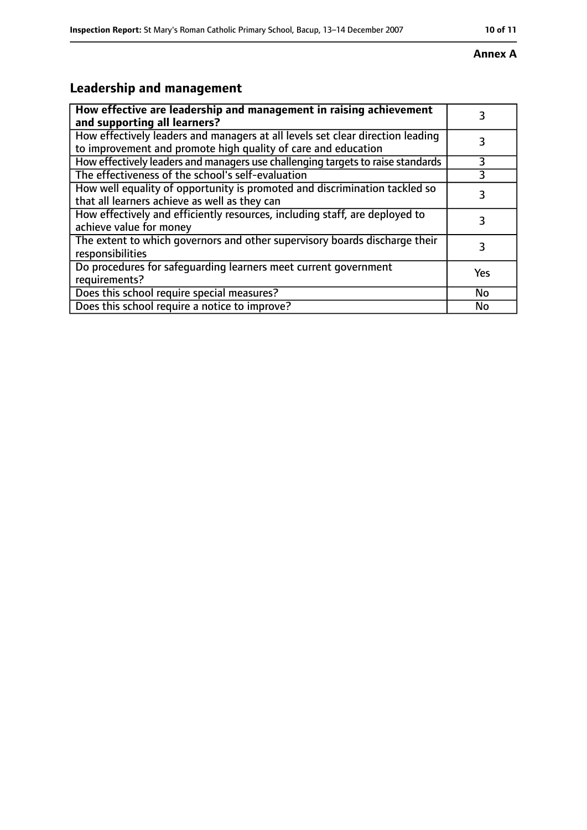# **Annex A**

# **Leadership and management**

| How effective are leadership and management in raising achievement<br>and supporting all learners?                                              |           |
|-------------------------------------------------------------------------------------------------------------------------------------------------|-----------|
| How effectively leaders and managers at all levels set clear direction leading<br>to improvement and promote high quality of care and education |           |
| How effectively leaders and managers use challenging targets to raise standards                                                                 | 3         |
| The effectiveness of the school's self-evaluation                                                                                               | 3         |
| How well equality of opportunity is promoted and discrimination tackled so<br>that all learners achieve as well as they can                     | 3         |
| How effectively and efficiently resources, including staff, are deployed to<br>achieve value for money                                          | 3         |
| The extent to which governors and other supervisory boards discharge their<br>responsibilities                                                  |           |
| Do procedures for safequarding learners meet current government<br>requirements?                                                                | Yes       |
| Does this school require special measures?                                                                                                      | <b>No</b> |
| Does this school require a notice to improve?                                                                                                   | No        |